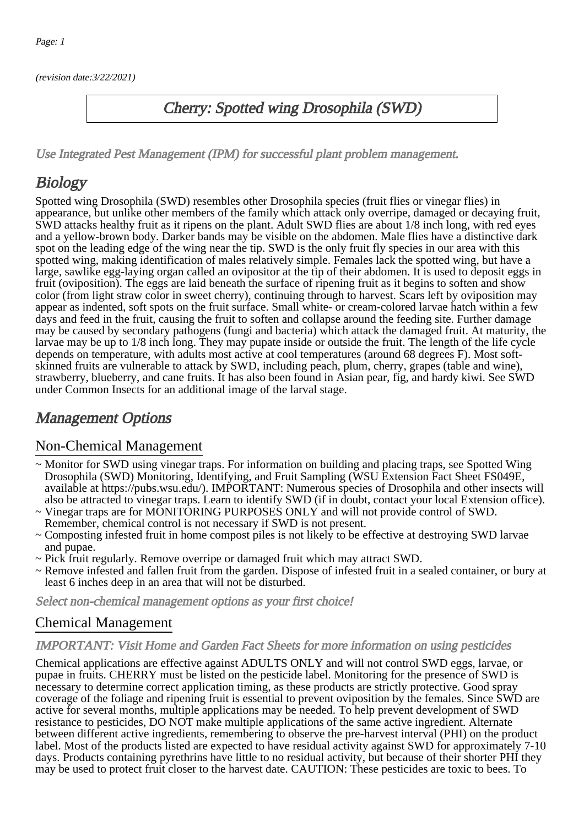(revision date:3/22/2021)

## Cherry: Spotted wing Drosophila (SWD)

[Use Integrated Pest Management \(IPM\) for successful plant problem management.](http://pep.wsu.edu/Home_Garden/H_G_Pesticide_info/urban_Integrated_Pest_Managmen/)

# **Biology**

Spotted wing Drosophila (SWD) resembles other Drosophila species (fruit flies or vinegar flies) in appearance, but unlike other members of the family which attack only overripe, damaged or decaying fruit, SWD attacks healthy fruit as it ripens on the plant. Adult SWD flies are about 1/8 inch long, with red eyes and a yellow-brown body. Darker bands may be visible on the abdomen. Male flies have a distinctive dark spot on the leading edge of the wing near the tip. SWD is the only fruit fly species in our area with this spotted wing, making identification of males relatively simple. Females lack the spotted wing, but have a large, sawlike egg-laying organ called an ovipositor at the tip of their abdomen. It is used to deposit eggs in fruit (oviposition). The eggs are laid beneath the surface of ripening fruit as it begins to soften and show color (from light straw color in sweet cherry), continuing through to harvest. Scars left by oviposition may appear as indented, soft spots on the fruit surface. Small white- or cream-colored larvae hatch within a few days and feed in the fruit, causing the fruit to soften and collapse around the feeding site. Further damage may be caused by secondary pathogens (fungi and bacteria) which attack the damaged fruit. At maturity, the larvae may be up to 1/8 inch long. They may pupate inside or outside the fruit. The length of the life cycle depends on temperature, with adults most active at cool temperatures (around 68 degrees F). Most softskinned fruits are vulnerable to attack by SWD, including peach, plum, cherry, grapes (table and wine), strawberry, blueberry, and cane fruits. It has also been found in Asian pear, fig, and hardy kiwi. See SWD under Common Insects for an additional image of the larval stage.

# Management Options

### Non-Chemical Management

- ~ Monitor for SWD using vinegar traps. For information on building and placing traps, see Spotted Wing Drosophila (SWD) Monitoring, Identifying, and Fruit Sampling (WSU Extension Fact Sheet FS049E, available at https://pubs.wsu.edu/). IMPORTANT: Numerous species of Drosophila and other insects will also be attracted to vinegar traps. Learn to identify SWD (if in doubt, contact your local Extension office).
- ~ Vinegar traps are for MONITORING PURPOSES ONLY and will not provide control of SWD. Remember, chemical control is not necessary if SWD is not present.
- ~ Composting infested fruit in home compost piles is not likely to be effective at destroying SWD larvae and pupae.
- ~ Pick fruit regularly. Remove overripe or damaged fruit which may attract SWD.
- ~ Remove infested and fallen fruit from the garden. Dispose of infested fruit in a sealed container, or bury at least 6 inches deep in an area that will not be disturbed.

Select non-chemical management options as your first choice!

## Chemical Management

#### IMPORTANT: [Visit Home and Garden Fact Sheets for more information on using pesticides](http://pep.wsu.edu/Home_Garden/H_G_Pesticide_info/)

Chemical applications are effective against ADULTS ONLY and will not control SWD eggs, larvae, or pupae in fruits. CHERRY must be listed on the pesticide label. Monitoring for the presence of SWD is necessary to determine correct application timing, as these products are strictly protective. Good spray coverage of the foliage and ripening fruit is essential to prevent oviposition by the females. Since SWD are active for several months, multiple applications may be needed. To help prevent development of SWD resistance to pesticides, DO NOT make multiple applications of the same active ingredient. Alternate between different active ingredients, remembering to observe the pre-harvest interval (PHI) on the product label. Most of the products listed are expected to have residual activity against SWD for approximately 7-10 days. Products containing pyrethrins have little to no residual activity, but because of their shorter PHI they may be used to protect fruit closer to the harvest date. CAUTION: These pesticides are toxic to bees. To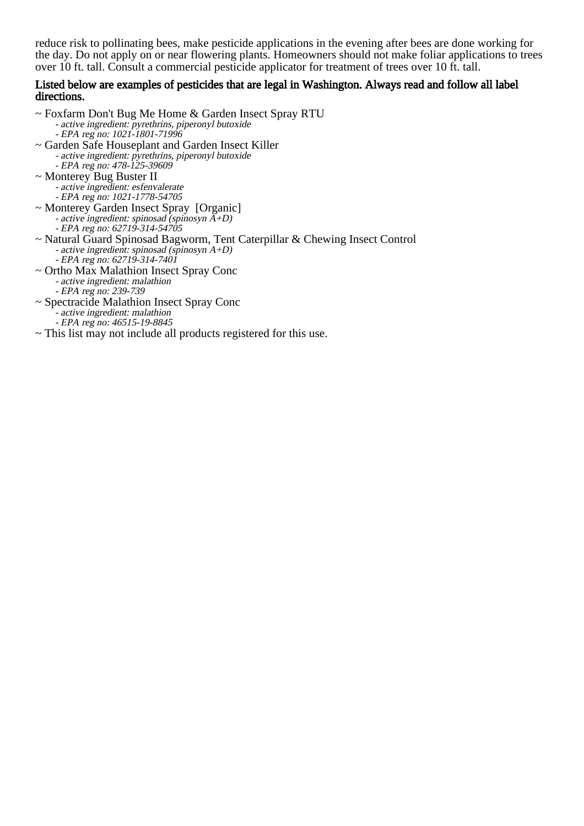reduce risk to pollinating bees, make pesticide applications in the evening after bees are done working for the day. Do not apply on or near flowering plants. Homeowners should not make foliar applications to trees over 10 ft. tall. Consult a commercial pesticide applicator for treatment of trees over 10 ft. tall.

#### Listed below are examples of pesticides that are legal in Washington. Always read and follow all label directions.

~ Foxfarm Don't Bug Me Home & Garden Insect Spray RTU - active ingredient: pyrethrins, piperonyl butoxide - EPA reg no: 1021-1801-71996 ~ Garden Safe Houseplant and Garden Insect Killer - active ingredient: pyrethrins, piperonyl butoxide - EPA reg no: 478-125-39609 ~ Monterey Bug Buster II -<br>-~ Monterey Garden Insect Spray [Organic] - active ingredient: spinosad (spinosyn A+D) - EPA reg no: 62719-314-54705 ~ Natural Guard Spinosad Bagworm, Tent Caterpillar & Chewing Insect Control -<br>-~ Ortho Max Malathion Insect Spray Conc active ingredient: esfenvalerate EPA reg no: 1021-1778-54705 active ingredient: spinosad (spinosyn A+D) EPA reg no: 62719-314-7401 active ingredient: malathion

- - EPA reg no: 239-739
- ~ Spectracide Malathion Insect Spray Conc
	- active ingredient: malathion - EPA reg no: 46515-19-8845
- ~ This list may not include all products registered for this use.